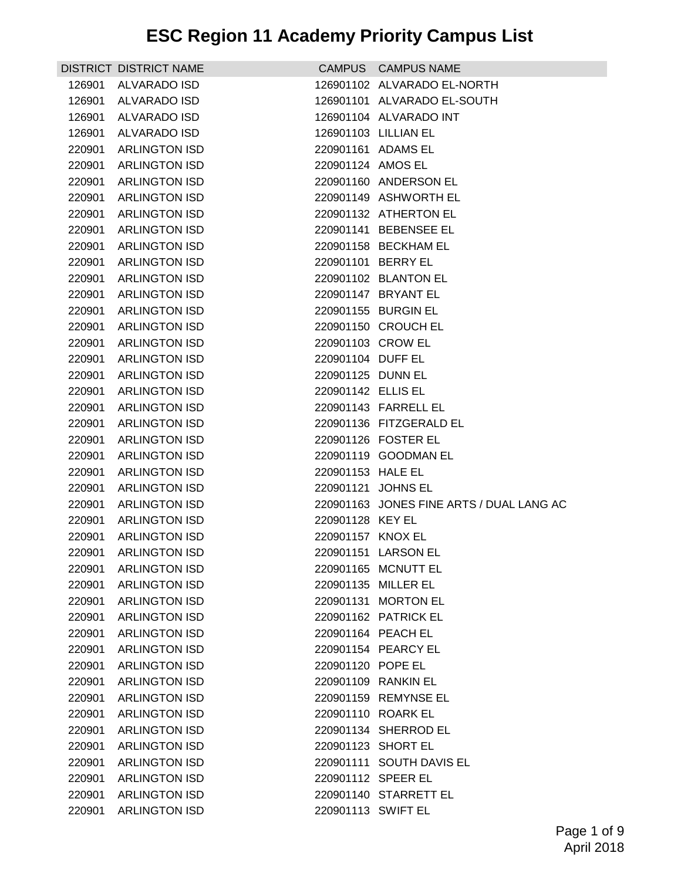|        | DISTRICT DISTRICT NAME |                     | CAMPUS CAMPUS NAME                       |
|--------|------------------------|---------------------|------------------------------------------|
| 126901 | <b>ALVARADO ISD</b>    |                     | 126901102 ALVARADO EL-NORTH              |
| 126901 | <b>ALVARADO ISD</b>    |                     | 126901101 ALVARADO EL-SOUTH              |
| 126901 | ALVARADO ISD           |                     | 126901104 ALVARADO INT                   |
| 126901 | ALVARADO ISD           |                     | 126901103 LILLIAN EL                     |
|        | 220901 ARLINGTON ISD   | 220901161 ADAMS EL  |                                          |
| 220901 | <b>ARLINGTON ISD</b>   | 220901124 AMOS EL   |                                          |
| 220901 | <b>ARLINGTON ISD</b>   |                     | 220901160 ANDERSON EL                    |
| 220901 | <b>ARLINGTON ISD</b>   |                     | 220901149 ASHWORTH EL                    |
|        | 220901 ARLINGTON ISD   |                     | 220901132 ATHERTON EL                    |
|        | 220901 ARLINGTON ISD   |                     | 220901141 BEBENSEE EL                    |
| 220901 | <b>ARLINGTON ISD</b>   |                     | 220901158 BECKHAM EL                     |
|        | 220901 ARLINGTON ISD   | 220901101 BERRY EL  |                                          |
| 220901 | <b>ARLINGTON ISD</b>   |                     | 220901102 BLANTON EL                     |
|        | 220901 ARLINGTON ISD   |                     | 220901147 BRYANT EL                      |
| 220901 | <b>ARLINGTON ISD</b>   |                     | 220901155 BURGIN EL                      |
| 220901 | <b>ARLINGTON ISD</b>   |                     | 220901150 CROUCH EL                      |
|        | 220901 ARLINGTON ISD   | 220901103 CROW EL   |                                          |
| 220901 | <b>ARLINGTON ISD</b>   | 220901104 DUFF EL   |                                          |
|        | 220901 ARLINGTON ISD   | 220901125 DUNN EL   |                                          |
| 220901 | <b>ARLINGTON ISD</b>   | 220901142 ELLIS EL  |                                          |
| 220901 | <b>ARLINGTON ISD</b>   |                     | 220901143 FARRELL EL                     |
| 220901 | <b>ARLINGTON ISD</b>   |                     | 220901136 FITZGERALD EL                  |
| 220901 | <b>ARLINGTON ISD</b>   |                     | 220901126 FOSTER EL                      |
|        | 220901 ARLINGTON ISD   |                     | 220901119 GOODMAN EL                     |
| 220901 | <b>ARLINGTON ISD</b>   | 220901153 HALE EL   |                                          |
| 220901 | <b>ARLINGTON ISD</b>   | 220901121 JOHNS EL  |                                          |
| 220901 | <b>ARLINGTON ISD</b>   |                     | 220901163 JONES FINE ARTS / DUAL LANG AC |
|        | 220901 ARLINGTON ISD   | 220901128 KEY EL    |                                          |
| 220901 | <b>ARLINGTON ISD</b>   | 220901157 KNOX EL   |                                          |
|        | 220901 ARLINGTON ISD   |                     | 220901151 LARSON EL                      |
|        | 220901 ARLINGTON ISD   |                     | 220901165 MCNUTT EL                      |
| 220901 | <b>ARLINGTON ISD</b>   | 220901135 MILLER EL |                                          |
| 220901 | <b>ARLINGTON ISD</b>   |                     | 220901131 MORTON EL                      |
| 220901 | <b>ARLINGTON ISD</b>   |                     | 220901162 PATRICK EL                     |
| 220901 | <b>ARLINGTON ISD</b>   | 220901164 PEACH EL  |                                          |
| 220901 | <b>ARLINGTON ISD</b>   |                     | 220901154 PEARCY EL                      |
| 220901 | <b>ARLINGTON ISD</b>   | 220901120 POPE EL   |                                          |
| 220901 | <b>ARLINGTON ISD</b>   |                     | 220901109 RANKIN EL                      |
| 220901 | <b>ARLINGTON ISD</b>   |                     | 220901159 REMYNSE EL                     |
| 220901 | <b>ARLINGTON ISD</b>   | 220901110 ROARK EL  |                                          |
| 220901 | <b>ARLINGTON ISD</b>   |                     | 220901134 SHERROD EL                     |
| 220901 | <b>ARLINGTON ISD</b>   | 220901123 SHORT EL  |                                          |
| 220901 | <b>ARLINGTON ISD</b>   |                     | 220901111 SOUTH DAVIS EL                 |
| 220901 | <b>ARLINGTON ISD</b>   | 220901112 SPEER EL  |                                          |
| 220901 | <b>ARLINGTON ISD</b>   |                     | 220901140 STARRETT EL                    |
| 220901 | <b>ARLINGTON ISD</b>   | 220901113 SWIFT EL  |                                          |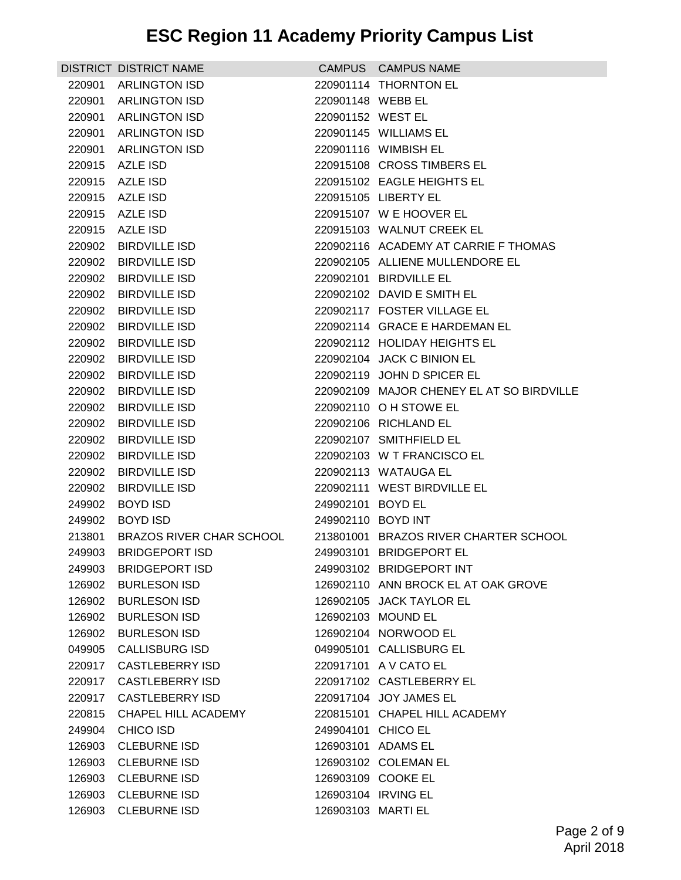|        | DISTRICT DISTRICT NAME          |                    | CAMPUS CAMPUS NAME                        |
|--------|---------------------------------|--------------------|-------------------------------------------|
|        | 220901 ARLINGTON ISD            |                    | 220901114 THORNTON EL                     |
| 220901 | <b>ARLINGTON ISD</b>            | 220901148 WEBB EL  |                                           |
|        | 220901 ARLINGTON ISD            | 220901152 WEST EL  |                                           |
|        | 220901 ARLINGTON ISD            |                    | 220901145 WILLIAMS EL                     |
|        | 220901 ARLINGTON ISD            |                    | 220901116 WIMBISH EL                      |
|        | 220915 AZLE ISD                 |                    | 220915108 CROSS TIMBERS EL                |
|        | 220915 AZLE ISD                 |                    | 220915102 EAGLE HEIGHTS EL                |
|        | 220915 AZLE ISD                 |                    | 220915105 LIBERTY EL                      |
|        | 220915 AZLE ISD                 |                    | 220915107 W E HOOVER EL                   |
|        | 220915 AZLE ISD                 |                    | 220915103 WALNUT CREEK EL                 |
| 220902 | <b>BIRDVILLE ISD</b>            |                    | 220902116 ACADEMY AT CARRIE F THOMAS      |
| 220902 | <b>BIRDVILLE ISD</b>            |                    | 220902105 ALLIENE MULLENDORE EL           |
|        | 220902 BIRDVILLE ISD            |                    | 220902101 BIRDVILLE EL                    |
|        | 220902 BIRDVILLE ISD            |                    | 220902102 DAVID E SMITH EL                |
|        | 220902 BIRDVILLE ISD            |                    | 220902117 FOSTER VILLAGE EL               |
| 220902 | <b>BIRDVILLE ISD</b>            |                    | 220902114 GRACE E HARDEMAN EL             |
|        | 220902 BIRDVILLE ISD            |                    | 220902112 HOLIDAY HEIGHTS EL              |
| 220902 | <b>BIRDVILLE ISD</b>            |                    | 220902104 JACK C BINION EL                |
|        | 220902 BIRDVILLE ISD            |                    | 220902119 JOHN D SPICER EL                |
|        | 220902 BIRDVILLE ISD            |                    | 220902109 MAJOR CHENEY EL AT SO BIRDVILLE |
| 220902 | <b>BIRDVILLE ISD</b>            |                    | 220902110 O H STOWE EL                    |
|        | 220902 BIRDVILLE ISD            |                    | 220902106 RICHLAND EL                     |
| 220902 | <b>BIRDVILLE ISD</b>            |                    | 220902107 SMITHFIELD EL                   |
|        | 220902 BIRDVILLE ISD            |                    | 220902103 W T FRANCISCO EL                |
| 220902 | <b>BIRDVILLE ISD</b>            |                    | 220902113 WATAUGA EL                      |
| 220902 | <b>BIRDVILLE ISD</b>            |                    | 220902111 WEST BIRDVILLE EL               |
| 249902 | <b>BOYD ISD</b>                 | 249902101 BOYD EL  |                                           |
|        | 249902 BOYD ISD                 | 249902110 BOYD INT |                                           |
| 213801 | <b>BRAZOS RIVER CHAR SCHOOL</b> |                    | 213801001 BRAZOS RIVER CHARTER SCHOOL     |
| 249903 | <b>BRIDGEPORT ISD</b>           |                    | 249903101 BRIDGEPORT EL                   |
|        | 249903 BRIDGEPORT ISD           |                    | 249903102 BRIDGEPORT INT                  |
| 126902 | <b>BURLESON ISD</b>             |                    | 126902110 ANN BROCK EL AT OAK GROVE       |
| 126902 | <b>BURLESON ISD</b>             |                    | 126902105 JACK TAYLOR EL                  |
|        | 126902 BURLESON ISD             |                    | 126902103 MOUND EL                        |
|        | 126902 BURLESON ISD             |                    | 126902104 NORWOOD EL                      |
|        | 049905 CALLISBURG ISD           |                    | 049905101 CALLISBURG EL                   |
| 220917 | <b>CASTLEBERRY ISD</b>          |                    | 220917101 A V CATO EL                     |
| 220917 | <b>CASTLEBERRY ISD</b>          |                    | 220917102 CASTLEBERRY EL                  |
|        | 220917 CASTLEBERRY ISD          |                    | 220917104 JOY JAMES EL                    |
| 220815 | CHAPEL HILL ACADEMY             |                    | 220815101 CHAPEL HILL ACADEMY             |
|        | 249904 CHICO ISD                | 249904101 CHICO EL |                                           |
| 126903 | <b>CLEBURNE ISD</b>             |                    | 126903101 ADAMS EL                        |
| 126903 | <b>CLEBURNE ISD</b>             |                    | 126903102 COLEMAN EL                      |
| 126903 | <b>CLEBURNE ISD</b>             |                    | 126903109 COOKE EL                        |
|        | 126903 CLEBURNE ISD             |                    | 126903104 IRVING EL                       |
|        | 126903 CLEBURNE ISD             | 126903103 MARTI EL |                                           |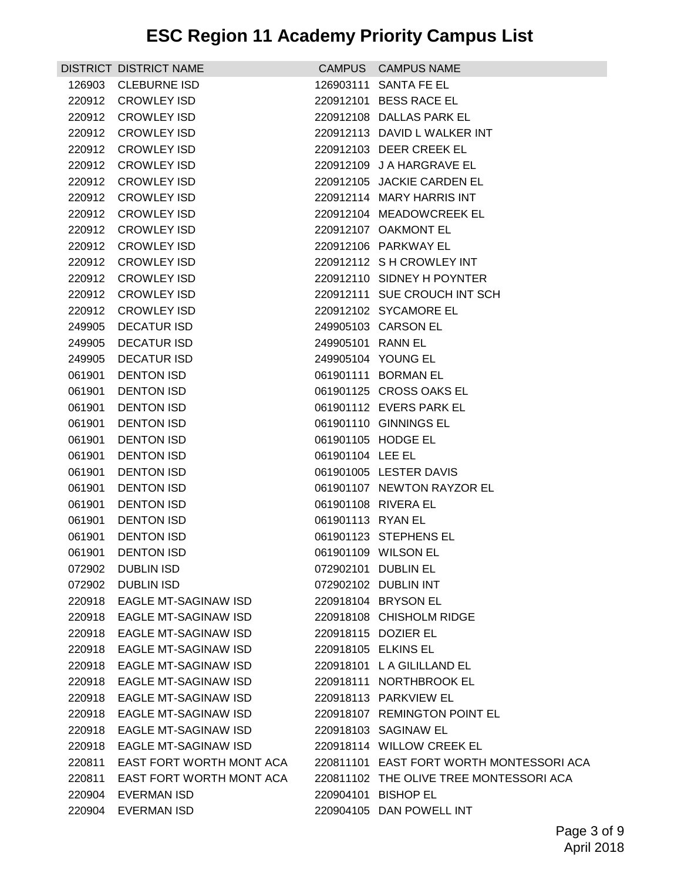|        | DISTRICT DISTRICT NAME      |                   | CAMPUS CAMPUS NAME                       |
|--------|-----------------------------|-------------------|------------------------------------------|
|        | 126903 CLEBURNE ISD         |                   | 126903111 SANTA FE EL                    |
|        | 220912 CROWLEY ISD          |                   | 220912101 BESS RACE EL                   |
|        | 220912 CROWLEY ISD          |                   | 220912108 DALLAS PARK EL                 |
|        | 220912 CROWLEY ISD          |                   | 220912113 DAVID L WALKER INT             |
|        | 220912 CROWLEY ISD          |                   | 220912103 DEER CREEK EL                  |
|        | 220912 CROWLEY ISD          |                   | 220912109 J A HARGRAVE EL                |
|        | 220912 CROWLEY ISD          |                   | 220912105 JACKIE CARDEN EL               |
|        | 220912 CROWLEY ISD          |                   | 220912114 MARY HARRIS INT                |
|        | 220912 CROWLEY ISD          |                   | 220912104 MEADOWCREEK EL                 |
|        | 220912 CROWLEY ISD          |                   | 220912107 OAKMONT EL                     |
|        | 220912 CROWLEY ISD          |                   | 220912106 PARKWAY EL                     |
|        | 220912 CROWLEY ISD          |                   | 220912112 S H CROWLEY INT                |
|        | 220912 CROWLEY ISD          |                   | 220912110 SIDNEY H POYNTER               |
|        | 220912 CROWLEY ISD          |                   | 220912111 SUE CROUCH INT SCH             |
|        | 220912 CROWLEY ISD          |                   | 220912102 SYCAMORE EL                    |
| 249905 | <b>DECATUR ISD</b>          |                   | 249905103 CARSON EL                      |
| 249905 | <b>DECATUR ISD</b>          | 249905101 RANN EL |                                          |
| 249905 | <b>DECATUR ISD</b>          |                   | 249905104 YOUNG EL                       |
| 061901 | <b>DENTON ISD</b>           |                   | 061901111 BORMAN EL                      |
| 061901 | <b>DENTON ISD</b>           |                   | 061901125 CROSS OAKS EL                  |
| 061901 | <b>DENTON ISD</b>           |                   | 061901112 EVERS PARK EL                  |
| 061901 | <b>DENTON ISD</b>           |                   | 061901110 GINNINGS EL                    |
| 061901 | <b>DENTON ISD</b>           |                   | 061901105 HODGE EL                       |
| 061901 | DENTON ISD                  | 061901104 LEE EL  |                                          |
| 061901 | DENTON ISD                  |                   | 061901005 LESTER DAVIS                   |
| 061901 | <b>DENTON ISD</b>           |                   | 061901107 NEWTON RAYZOR EL               |
| 061901 | <b>DENTON ISD</b>           |                   | 061901108 RIVERA EL                      |
| 061901 | <b>DENTON ISD</b>           | 061901113 RYAN EL |                                          |
| 061901 | DENTON ISD                  |                   | 061901123 STEPHENS EL                    |
| 061901 | <b>DENTON ISD</b>           |                   | 061901109 WILSON EL                      |
| 072902 | <b>DUBLIN ISD</b>           |                   | 072902101 DUBLIN EL                      |
| 072902 | <b>DUBLIN ISD</b>           |                   | 072902102 DUBLIN INT                     |
| 220918 | EAGLE MT-SAGINAW ISD        |                   | 220918104 BRYSON EL                      |
| 220918 | EAGLE MT-SAGINAW ISD        |                   | 220918108 CHISHOLM RIDGE                 |
| 220918 | EAGLE MT-SAGINAW ISD        |                   | 220918115 DOZIER EL                      |
| 220918 | EAGLE MT-SAGINAW ISD        |                   | 220918105 ELKINS EL                      |
| 220918 | <b>EAGLE MT-SAGINAW ISD</b> |                   | 220918101 L A GILILLAND EL               |
| 220918 | <b>EAGLE MT-SAGINAW ISD</b> |                   | 220918111 NORTHBROOK EL                  |
| 220918 | EAGLE MT-SAGINAW ISD        |                   | 220918113 PARKVIEW EL                    |
| 220918 | EAGLE MT-SAGINAW ISD        |                   | 220918107 REMINGTON POINT EL             |
| 220918 | EAGLE MT-SAGINAW ISD        |                   | 220918103 SAGINAW EL                     |
| 220918 | EAGLE MT-SAGINAW ISD        |                   | 220918114 WILLOW CREEK EL                |
| 220811 | EAST FORT WORTH MONT ACA    |                   | 220811101 EAST FORT WORTH MONTESSORI ACA |
| 220811 | EAST FORT WORTH MONT ACA    |                   | 220811102 THE OLIVE TREE MONTESSORI ACA  |
| 220904 | EVERMAN ISD                 |                   | 220904101 BISHOP EL                      |
| 220904 | EVERMAN ISD                 |                   | 220904105 DAN POWELL INT                 |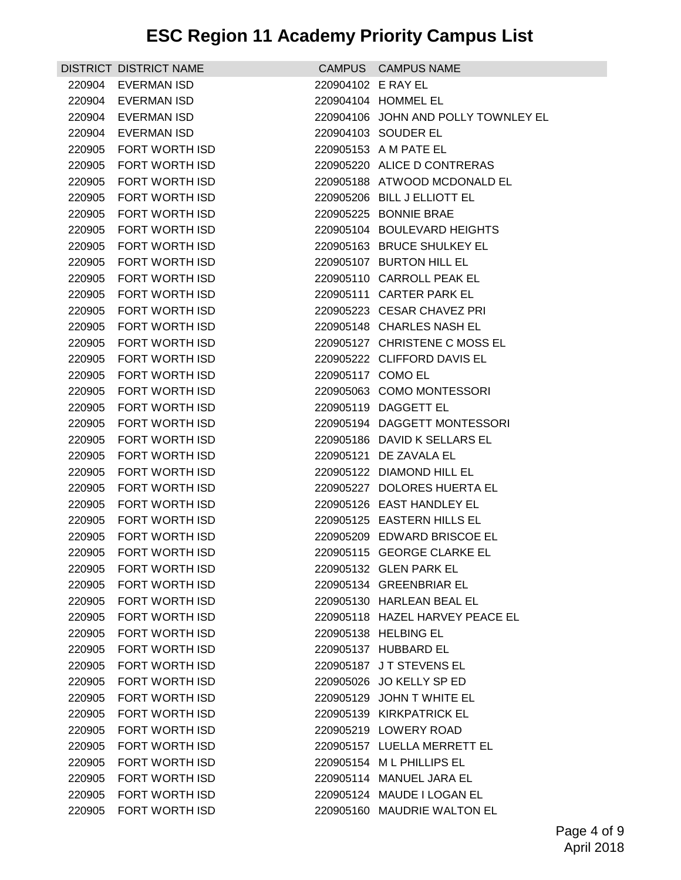|        | DISTRICT DISTRICT NAME |                    | CAMPUS CAMPUS NAME                  |
|--------|------------------------|--------------------|-------------------------------------|
|        | 220904 EVERMAN ISD     | 220904102 E RAY EL |                                     |
|        | 220904 EVERMAN ISD     |                    | 220904104 HOMMEL EL                 |
| 220904 | EVERMAN ISD            |                    | 220904106 JOHN AND POLLY TOWNLEY EL |
|        | 220904 EVERMAN ISD     |                    | 220904103 SOUDER EL                 |
|        | 220905 FORT WORTH ISD  |                    | 220905153 A M PATE EL               |
|        | 220905 FORT WORTH ISD  |                    | 220905220 ALICE D CONTRERAS         |
|        | 220905 FORT WORTH ISD  |                    | 220905188 ATWOOD MCDONALD EL        |
|        | 220905 FORT WORTH ISD  |                    | 220905206 BILL J ELLIOTT EL         |
|        | 220905 FORT WORTH ISD  |                    | 220905225 BONNIE BRAE               |
|        | 220905 FORT WORTH ISD  |                    | 220905104 BOULEVARD HEIGHTS         |
|        | 220905 FORT WORTH ISD  |                    | 220905163 BRUCE SHULKEY EL          |
|        | 220905 FORT WORTH ISD  |                    | 220905107 BURTON HILL EL            |
|        | 220905 FORT WORTH ISD  |                    | 220905110 CARROLL PEAK EL           |
|        | 220905 FORT WORTH ISD  |                    | 220905111 CARTER PARK EL            |
|        | 220905 FORT WORTH ISD  |                    | 220905223 CESAR CHAVEZ PRI          |
|        | 220905 FORT WORTH ISD  |                    | 220905148 CHARLES NASH EL           |
|        | 220905 FORT WORTH ISD  |                    | 220905127 CHRISTENE C MOSS EL       |
|        | 220905 FORT WORTH ISD  |                    | 220905222 CLIFFORD DAVIS EL         |
|        | 220905 FORT WORTH ISD  | 220905117 COMO EL  |                                     |
|        | 220905 FORT WORTH ISD  |                    | 220905063 COMO MONTESSORI           |
|        | 220905 FORT WORTH ISD  |                    | 220905119 DAGGETT EL                |
| 220905 | FORT WORTH ISD         |                    | 220905194 DAGGETT MONTESSORI        |
| 220905 | FORT WORTH ISD         |                    | 220905186 DAVID K SELLARS EL        |
|        | 220905 FORT WORTH ISD  |                    | 220905121 DE ZAVALA EL              |
|        | 220905 FORT WORTH ISD  |                    | 220905122 DIAMOND HILL EL           |
| 220905 | FORT WORTH ISD         |                    | 220905227 DOLORES HUERTA EL         |
|        | 220905 FORT WORTH ISD  |                    | 220905126 EAST HANDLEY EL           |
|        | 220905 FORT WORTH ISD  |                    | 220905125 EASTERN HILLS EL          |
| 220905 | FORT WORTH ISD         |                    | 220905209 EDWARD BRISCOE EL         |
| 220905 | <b>FORT WORTH ISD</b>  |                    | 220905115 GEORGE CLARKE EL          |
|        | 220905 FORT WORTH ISD  |                    | 220905132 GLEN PARK EL              |
| 220905 | <b>FORT WORTH ISD</b>  |                    | 220905134 GREENBRIAR EL             |
| 220905 | <b>FORT WORTH ISD</b>  |                    | 220905130 HARLEAN BEAL EL           |
| 220905 | FORT WORTH ISD         |                    | 220905118 HAZEL HARVEY PEACE EL     |
| 220905 | FORT WORTH ISD         |                    | 220905138 HELBING EL                |
| 220905 | <b>FORT WORTH ISD</b>  |                    | 220905137 HUBBARD EL                |
| 220905 | FORT WORTH ISD         |                    | 220905187 JT STEVENS EL             |
| 220905 | <b>FORT WORTH ISD</b>  |                    | 220905026 JO KELLY SP ED            |
| 220905 | FORT WORTH ISD         |                    | 220905129 JOHN T WHITE EL           |
| 220905 | FORT WORTH ISD         |                    | 220905139 KIRKPATRICK EL            |
| 220905 | FORT WORTH ISD         |                    | 220905219 LOWERY ROAD               |
| 220905 | FORT WORTH ISD         |                    | 220905157 LUELLA MERRETT EL         |
| 220905 | FORT WORTH ISD         |                    | 220905154 ML PHILLIPS EL            |
| 220905 | FORT WORTH ISD         |                    | 220905114 MANUEL JARA EL            |
| 220905 | <b>FORT WORTH ISD</b>  |                    | 220905124 MAUDE I LOGAN EL          |
| 220905 | FORT WORTH ISD         |                    | 220905160 MAUDRIE WALTON EL         |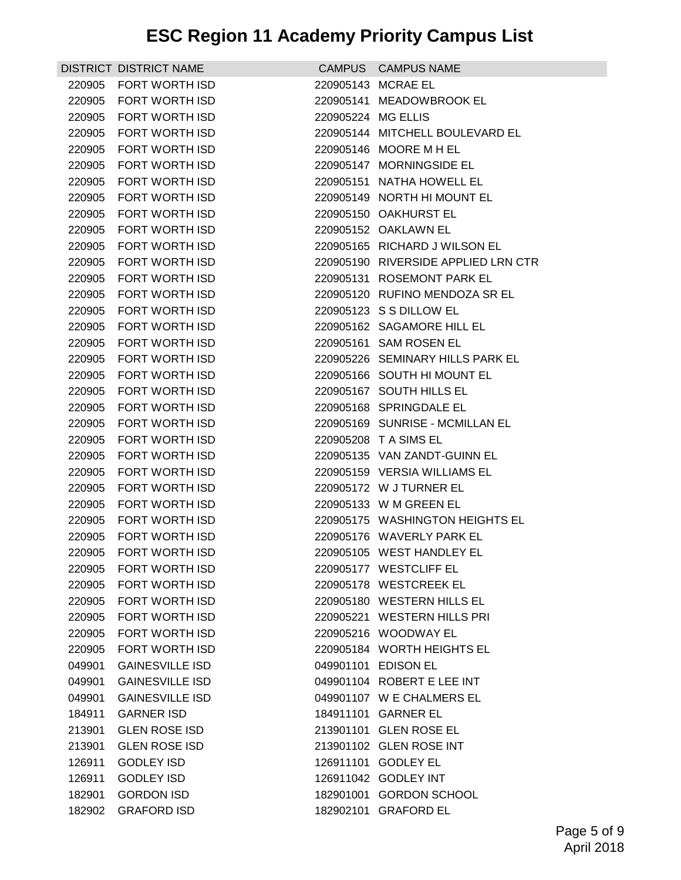|        | DISTRICT DISTRICT NAME |                    | CAMPUS CAMPUS NAME                  |
|--------|------------------------|--------------------|-------------------------------------|
| 220905 | <b>FORT WORTH ISD</b>  |                    | 220905143 MCRAE EL                  |
|        | 220905 FORT WORTH ISD  |                    | 220905141 MEADOWBROOK EL            |
| 220905 | FORT WORTH ISD         | 220905224 MG ELLIS |                                     |
| 220905 | FORT WORTH ISD         |                    | 220905144 MITCHELL BOULEVARD EL     |
| 220905 | FORT WORTH ISD         |                    | 220905146 MOORE M H EL              |
| 220905 | FORT WORTH ISD         |                    | 220905147 MORNINGSIDE EL            |
| 220905 | <b>FORT WORTH ISD</b>  |                    | 220905151 NATHA HOWELL EL           |
| 220905 | FORT WORTH ISD         |                    | 220905149 NORTH HI MOUNT EL         |
| 220905 | <b>FORT WORTH ISD</b>  |                    | 220905150 OAKHURST EL               |
| 220905 | FORT WORTH ISD         |                    | 220905152 OAKLAWN EL                |
| 220905 | FORT WORTH ISD         |                    | 220905165 RICHARD J WILSON EL       |
| 220905 | FORT WORTH ISD         |                    | 220905190 RIVERSIDE APPLIED LRN CTR |
|        | 220905 FORT WORTH ISD  |                    | 220905131 ROSEMONT PARK EL          |
| 220905 | FORT WORTH ISD         |                    | 220905120 RUFINO MENDOZA SR EL      |
| 220905 | FORT WORTH ISD         |                    | 220905123 S S DILLOW EL             |
| 220905 | FORT WORTH ISD         |                    | 220905162 SAGAMORE HILL EL          |
| 220905 | FORT WORTH ISD         |                    | 220905161 SAM ROSEN EL              |
| 220905 | FORT WORTH ISD         |                    | 220905226 SEMINARY HILLS PARK EL    |
| 220905 | FORT WORTH ISD         |                    | 220905166 SOUTH HI MOUNT EL         |
| 220905 | FORT WORTH ISD         |                    | 220905167 SOUTH HILLS EL            |
| 220905 | FORT WORTH ISD         |                    | 220905168 SPRINGDALE EL             |
| 220905 | FORT WORTH ISD         |                    | 220905169 SUNRISE - MCMILLAN EL     |
| 220905 | FORT WORTH ISD         |                    | 220905208 T A SIMS EL               |
| 220905 | FORT WORTH ISD         |                    | 220905135 VAN ZANDT-GUINN EL        |
| 220905 | FORT WORTH ISD         |                    | 220905159 VERSIA WILLIAMS EL        |
| 220905 | FORT WORTH ISD         |                    | 220905172 W J TURNER EL             |
| 220905 | <b>FORT WORTH ISD</b>  |                    | 220905133 W M GREEN EL              |
| 220905 | FORT WORTH ISD         |                    | 220905175 WASHINGTON HEIGHTS EL     |
| 220905 | FORT WORTH ISD         |                    | 220905176 WAVERLY PARK EL           |
|        | 220905 FORT WORTH ISD  |                    | 220905105 WEST HANDLEY EL           |
|        | 220905 FORT WORTH ISD  |                    | 220905177 WESTCLIFF EL              |
| 220905 | FORT WORTH ISD         |                    | 220905178 WESTCREEK EL              |
| 220905 | FORT WORTH ISD         |                    | 220905180 WESTERN HILLS EL          |
| 220905 | <b>FORT WORTH ISD</b>  |                    | 220905221 WESTERN HILLS PRI         |
| 220905 | FORT WORTH ISD         |                    | 220905216 WOODWAY EL                |
| 220905 | FORT WORTH ISD         |                    | 220905184 WORTH HEIGHTS EL          |
| 049901 | <b>GAINESVILLE ISD</b> |                    | 049901101 EDISON EL                 |
| 049901 | <b>GAINESVILLE ISD</b> |                    | 049901104 ROBERT E LEE INT          |
| 049901 | <b>GAINESVILLE ISD</b> |                    | 049901107 W E CHALMERS EL           |
| 184911 | <b>GARNER ISD</b>      |                    | 184911101 GARNER EL                 |
| 213901 | <b>GLEN ROSE ISD</b>   |                    | 213901101 GLEN ROSE EL              |
| 213901 | <b>GLEN ROSE ISD</b>   |                    | 213901102 GLEN ROSE INT             |
| 126911 | <b>GODLEY ISD</b>      |                    | 126911101 GODLEY EL                 |
| 126911 | <b>GODLEY ISD</b>      |                    | 126911042 GODLEY INT                |
| 182901 | <b>GORDON ISD</b>      |                    | 182901001 GORDON SCHOOL             |
| 182902 | <b>GRAFORD ISD</b>     |                    | 182902101 GRAFORD EL                |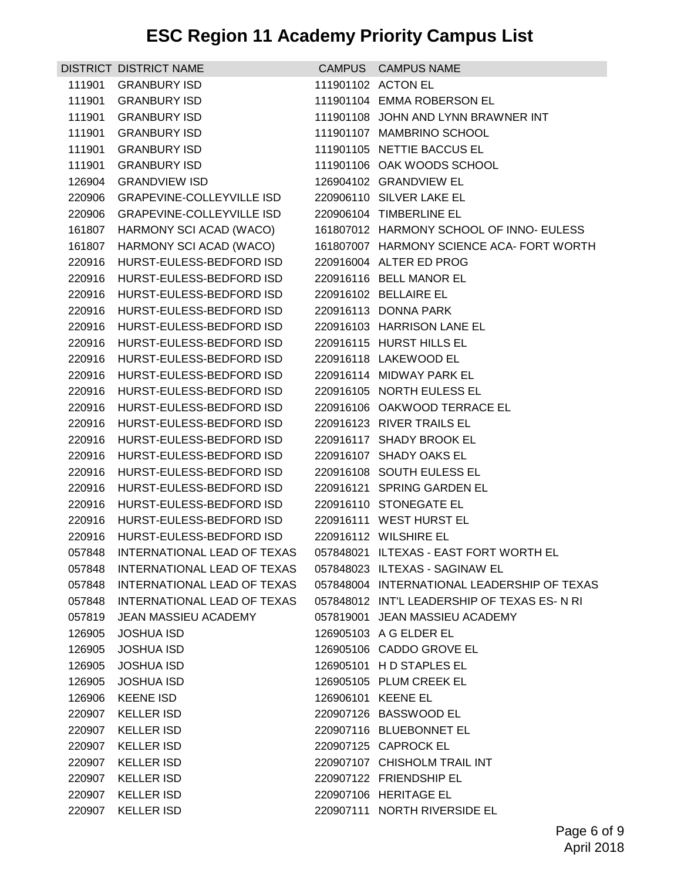## **ESC Region 11 Academy Priority Campus List**

|        | DISTRICT DISTRICT NAME           |                    | CAMPUS CAMPUS NAME                          |
|--------|----------------------------------|--------------------|---------------------------------------------|
| 111901 | <b>GRANBURY ISD</b>              |                    | 111901102 ACTON EL                          |
| 111901 | <b>GRANBURY ISD</b>              |                    | 111901104 EMMA ROBERSON EL                  |
| 111901 | <b>GRANBURY ISD</b>              |                    | 111901108 JOHN AND LYNN BRAWNER INT         |
| 111901 | <b>GRANBURY ISD</b>              |                    | 111901107 MAMBRINO SCHOOL                   |
| 111901 | <b>GRANBURY ISD</b>              |                    | 111901105 NETTIE BACCUS EL                  |
| 111901 | <b>GRANBURY ISD</b>              |                    | 111901106 OAK WOODS SCHOOL                  |
| 126904 | <b>GRANDVIEW ISD</b>             |                    | 126904102 GRANDVIEW EL                      |
|        | 220906 GRAPEVINE-COLLEYVILLE ISD |                    | 220906110 SILVER LAKE EL                    |
|        | 220906 GRAPEVINE-COLLEYVILLE ISD |                    | 220906104 TIMBERLINE EL                     |
|        | 161807 HARMONY SCI ACAD (WACO)   |                    | 161807012 HARMONY SCHOOL OF INNO- EULESS    |
| 161807 | HARMONY SCI ACAD (WACO)          |                    | 161807007 HARMONY SCIENCE ACA- FORT WORTH   |
| 220916 | HURST-EULESS-BEDFORD ISD         |                    | 220916004 ALTER ED PROG                     |
|        | 220916 HURST-EULESS-BEDFORD ISD  |                    | 220916116 BELL MANOR EL                     |
|        | 220916 HURST-EULESS-BEDFORD ISD  |                    | 220916102 BELLAIRE EL                       |
|        | 220916 HURST-EULESS-BEDFORD ISD  |                    | 220916113 DONNA PARK                        |
| 220916 | HURST-EULESS-BEDFORD ISD         |                    | 220916103 HARRISON LANE EL                  |
|        | 220916 HURST-EULESS-BEDFORD ISD  |                    | 220916115 HURST HILLS EL                    |
| 220916 | HURST-EULESS-BEDFORD ISD         |                    | 220916118 LAKEWOOD EL                       |
|        | 220916 HURST-EULESS-BEDFORD ISD  |                    | 220916114 MIDWAY PARK EL                    |
|        | 220916 HURST-EULESS-BEDFORD ISD  |                    | 220916105 NORTH EULESS EL                   |
| 220916 | HURST-EULESS-BEDFORD ISD         |                    | 220916106 OAKWOOD TERRACE EL                |
|        | 220916 HURST-EULESS-BEDFORD ISD  |                    | 220916123 RIVER TRAILS EL                   |
| 220916 | HURST-EULESS-BEDFORD ISD         |                    | 220916117 SHADY BROOK EL                    |
|        | 220916 HURST-EULESS-BEDFORD ISD  |                    | 220916107 SHADY OAKS EL                     |
| 220916 | HURST-EULESS-BEDFORD ISD         |                    | 220916108 SOUTH EULESS EL                   |
| 220916 | HURST-EULESS-BEDFORD ISD         |                    | 220916121 SPRING GARDEN EL                  |
|        | 220916 HURST-EULESS-BEDFORD ISD  |                    | 220916110 STONEGATE EL                      |
| 220916 | HURST-EULESS-BEDFORD ISD         |                    | 220916111 WEST HURST EL                     |
|        | 220916 HURST-EULESS-BEDFORD ISD  |                    | 220916112 WILSHIRE EL                       |
| 057848 | INTERNATIONAL LEAD OF TEXAS      |                    | 057848021 ILTEXAS - EAST FORT WORTH EL      |
| 057848 | INTERNATIONAL LEAD OF TEXAS      |                    | 057848023 ILTEXAS - SAGINAW EL              |
| 057848 | INTERNATIONAL LEAD OF TEXAS      |                    | 057848004 INTERNATIONAL LEADERSHIP OF TEXAS |
| 057848 | INTERNATIONAL LEAD OF TEXAS      |                    | 057848012 INT'L LEADERSHIP OF TEXAS ES-N RI |
| 057819 | JEAN MASSIEU ACADEMY             |                    | 057819001 JEAN MASSIEU ACADEMY              |
| 126905 | <b>JOSHUA ISD</b>                |                    | 126905103 A G ELDER EL                      |
| 126905 | <b>JOSHUA ISD</b>                |                    | 126905106 CADDO GROVE EL                    |
| 126905 | <b>JOSHUA ISD</b>                |                    | 126905101 HD STAPLES EL                     |
| 126905 | <b>JOSHUA ISD</b>                |                    | 126905105 PLUM CREEK EL                     |
|        | 126906 KEENE ISD                 | 126906101 KEENE EL |                                             |
| 220907 | <b>KELLER ISD</b>                |                    | 220907126 BASSWOOD EL                       |
|        | 220907 KELLER ISD                |                    | 220907116 BLUEBONNET EL                     |
| 220907 | <b>KELLER ISD</b>                |                    | 220907125 CAPROCK EL                        |
| 220907 | <b>KELLER ISD</b>                |                    | 220907107 CHISHOLM TRAIL INT                |
| 220907 | <b>KELLER ISD</b>                |                    | 220907122 FRIENDSHIP EL                     |
| 220907 | <b>KELLER ISD</b>                |                    | 220907106 HERITAGE EL                       |
|        | 220907 KELLER ISD                |                    | 220907111 NORTH RIVERSIDE EL                |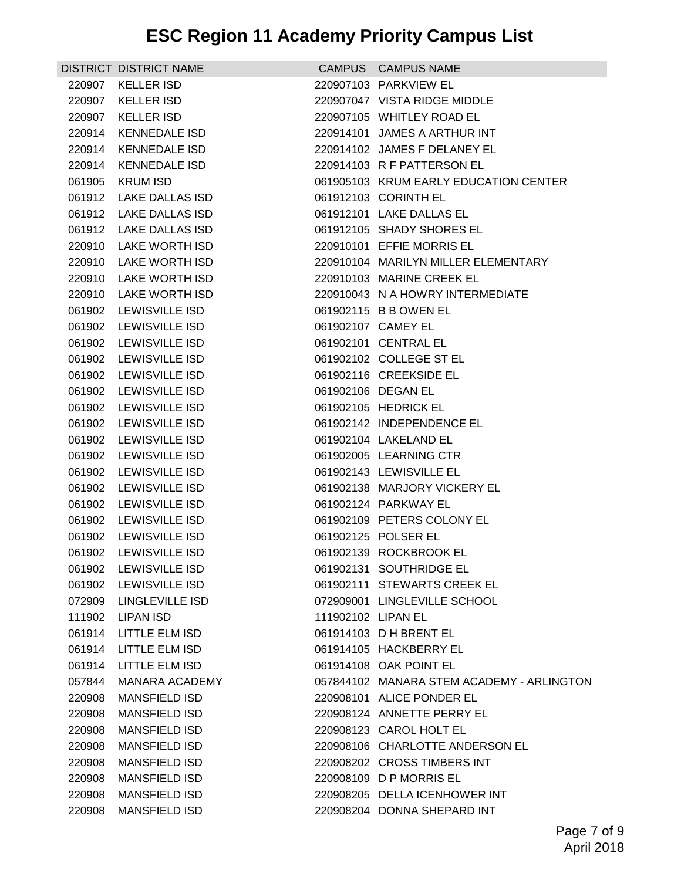| <b>KELLER ISD</b><br>220907103 PARKVIEW EL<br>220907<br><b>KELLER ISD</b><br>220907047 VISTA RIDGE MIDDLE<br>220907<br><b>KELLER ISD</b><br>220907105 WHITLEY ROAD EL<br>220907<br>220914101 JAMES A ARTHUR INT<br>220914<br>KENNEDALE ISD<br>220914 KENNEDALE ISD<br>220914102 JAMES F DELANEY EL<br><b>KENNEDALE ISD</b><br>220914103 R F PATTERSON EL<br>220914<br>061905<br><b>KRUM ISD</b><br>061905103 KRUM EARLY EDUCATION CENTER<br>061912103 CORINTH EL<br>061912 LAKE DALLAS ISD<br>061912101 LAKE DALLAS EL<br>061912 LAKE DALLAS ISD<br>061912 LAKE DALLAS ISD<br>061912105 SHADY SHORES EL<br>220910 LAKE WORTH ISD<br>220910101 EFFIE MORRIS EL<br>220910 LAKE WORTH ISD<br>220910104 MARILYN MILLER ELEMENTARY<br>220910 LAKE WORTH ISD<br>220910103 MARINE CREEK EL<br>220910 LAKE WORTH ISD<br>220910043 N A HOWRY INTERMEDIATE<br>061902 LEWISVILLE ISD<br>061902115 B B OWEN EL<br>061902 LEWISVILLE ISD<br>061902107 CAMEY EL<br>061902 LEWISVILLE ISD<br>061902101 CENTRAL EL<br>061902 LEWISVILLE ISD<br>061902102 COLLEGE ST EL<br>061902 LEWISVILLE ISD<br>061902116 CREEKSIDE EL<br>061902 LEWISVILLE ISD<br>061902106 DEGAN EL<br>061902 LEWISVILLE ISD<br>061902105 HEDRICK EL<br>061902 LEWISVILLE ISD<br>061902142 INDEPENDENCE EL<br>061902 LEWISVILLE ISD<br>061902104 LAKELAND EL<br>061902 LEWISVILLE ISD<br>061902005 LEARNING CTR<br>LEWISVILLE ISD<br>061902143 LEWISVILLE EL<br>061902<br>061902 LEWISVILLE ISD<br>061902138 MARJORY VICKERY EL<br>061902 LEWISVILLE ISD<br>061902124 PARKWAY EL<br>061902 LEWISVILLE ISD<br>061902109 PETERS COLONY EL<br>061902 LEWISVILLE ISD<br>061902125 POLSER EL<br>061902 LEWISVILLE ISD<br>061902139 ROCKBROOK EL<br>061902131 SOUTHRIDGE EL<br>061902 LEWISVILLE ISD<br>061902 LEWISVILLE ISD<br>061902111 STEWARTS CREEK EL<br>072909<br>LINGLEVILLE ISD<br>072909001 LINGLEVILLE SCHOOL<br>111902 LIPAN ISD<br>111902102 LIPAN EL<br>061914103 D H BRENT EL<br>061914 LITTLE ELM ISD<br>061914 LITTLE ELM ISD<br>061914105 HACKBERRY EL<br><b>LITTLE ELM ISD</b><br>061914108 OAK POINT EL<br>061914<br>057844<br><b>MANARA ACADEMY</b><br>057844102 MANARA STEM ACADEMY - ARLINGTON<br><b>MANSFIELD ISD</b><br>220908101 ALICE PONDER EL<br>220908<br>220908124 ANNETTE PERRY EL<br>220908<br><b>MANSFIELD ISD</b><br>220908<br><b>MANSFIELD ISD</b><br>220908123 CAROL HOLT EL<br><b>MANSFIELD ISD</b><br>220908106 CHARLOTTE ANDERSON EL<br>220908<br><b>MANSFIELD ISD</b><br>220908202 CROSS TIMBERS INT<br>220908<br><b>MANSFIELD ISD</b><br>220908109 D P MORRIS EL<br>220908<br>220908<br><b>MANSFIELD ISD</b><br>220908205 DELLA ICENHOWER INT<br>220908204 DONNA SHEPARD INT |        | DISTRICT DISTRICT NAME | CAMPUS CAMPUS NAME |
|------------------------------------------------------------------------------------------------------------------------------------------------------------------------------------------------------------------------------------------------------------------------------------------------------------------------------------------------------------------------------------------------------------------------------------------------------------------------------------------------------------------------------------------------------------------------------------------------------------------------------------------------------------------------------------------------------------------------------------------------------------------------------------------------------------------------------------------------------------------------------------------------------------------------------------------------------------------------------------------------------------------------------------------------------------------------------------------------------------------------------------------------------------------------------------------------------------------------------------------------------------------------------------------------------------------------------------------------------------------------------------------------------------------------------------------------------------------------------------------------------------------------------------------------------------------------------------------------------------------------------------------------------------------------------------------------------------------------------------------------------------------------------------------------------------------------------------------------------------------------------------------------------------------------------------------------------------------------------------------------------------------------------------------------------------------------------------------------------------------------------------------------------------------------------------------------------------------------------------------------------------------------------------------------------------------------------------------------------------------------------------------------------------------------------------------------------------------------------------------------------------------------------------------------------------------------------------------------------------------------------------------------------------------------|--------|------------------------|--------------------|
|                                                                                                                                                                                                                                                                                                                                                                                                                                                                                                                                                                                                                                                                                                                                                                                                                                                                                                                                                                                                                                                                                                                                                                                                                                                                                                                                                                                                                                                                                                                                                                                                                                                                                                                                                                                                                                                                                                                                                                                                                                                                                                                                                                                                                                                                                                                                                                                                                                                                                                                                                                                                                                                                        |        |                        |                    |
|                                                                                                                                                                                                                                                                                                                                                                                                                                                                                                                                                                                                                                                                                                                                                                                                                                                                                                                                                                                                                                                                                                                                                                                                                                                                                                                                                                                                                                                                                                                                                                                                                                                                                                                                                                                                                                                                                                                                                                                                                                                                                                                                                                                                                                                                                                                                                                                                                                                                                                                                                                                                                                                                        |        |                        |                    |
|                                                                                                                                                                                                                                                                                                                                                                                                                                                                                                                                                                                                                                                                                                                                                                                                                                                                                                                                                                                                                                                                                                                                                                                                                                                                                                                                                                                                                                                                                                                                                                                                                                                                                                                                                                                                                                                                                                                                                                                                                                                                                                                                                                                                                                                                                                                                                                                                                                                                                                                                                                                                                                                                        |        |                        |                    |
|                                                                                                                                                                                                                                                                                                                                                                                                                                                                                                                                                                                                                                                                                                                                                                                                                                                                                                                                                                                                                                                                                                                                                                                                                                                                                                                                                                                                                                                                                                                                                                                                                                                                                                                                                                                                                                                                                                                                                                                                                                                                                                                                                                                                                                                                                                                                                                                                                                                                                                                                                                                                                                                                        |        |                        |                    |
|                                                                                                                                                                                                                                                                                                                                                                                                                                                                                                                                                                                                                                                                                                                                                                                                                                                                                                                                                                                                                                                                                                                                                                                                                                                                                                                                                                                                                                                                                                                                                                                                                                                                                                                                                                                                                                                                                                                                                                                                                                                                                                                                                                                                                                                                                                                                                                                                                                                                                                                                                                                                                                                                        |        |                        |                    |
|                                                                                                                                                                                                                                                                                                                                                                                                                                                                                                                                                                                                                                                                                                                                                                                                                                                                                                                                                                                                                                                                                                                                                                                                                                                                                                                                                                                                                                                                                                                                                                                                                                                                                                                                                                                                                                                                                                                                                                                                                                                                                                                                                                                                                                                                                                                                                                                                                                                                                                                                                                                                                                                                        |        |                        |                    |
|                                                                                                                                                                                                                                                                                                                                                                                                                                                                                                                                                                                                                                                                                                                                                                                                                                                                                                                                                                                                                                                                                                                                                                                                                                                                                                                                                                                                                                                                                                                                                                                                                                                                                                                                                                                                                                                                                                                                                                                                                                                                                                                                                                                                                                                                                                                                                                                                                                                                                                                                                                                                                                                                        |        |                        |                    |
|                                                                                                                                                                                                                                                                                                                                                                                                                                                                                                                                                                                                                                                                                                                                                                                                                                                                                                                                                                                                                                                                                                                                                                                                                                                                                                                                                                                                                                                                                                                                                                                                                                                                                                                                                                                                                                                                                                                                                                                                                                                                                                                                                                                                                                                                                                                                                                                                                                                                                                                                                                                                                                                                        |        |                        |                    |
|                                                                                                                                                                                                                                                                                                                                                                                                                                                                                                                                                                                                                                                                                                                                                                                                                                                                                                                                                                                                                                                                                                                                                                                                                                                                                                                                                                                                                                                                                                                                                                                                                                                                                                                                                                                                                                                                                                                                                                                                                                                                                                                                                                                                                                                                                                                                                                                                                                                                                                                                                                                                                                                                        |        |                        |                    |
|                                                                                                                                                                                                                                                                                                                                                                                                                                                                                                                                                                                                                                                                                                                                                                                                                                                                                                                                                                                                                                                                                                                                                                                                                                                                                                                                                                                                                                                                                                                                                                                                                                                                                                                                                                                                                                                                                                                                                                                                                                                                                                                                                                                                                                                                                                                                                                                                                                                                                                                                                                                                                                                                        |        |                        |                    |
|                                                                                                                                                                                                                                                                                                                                                                                                                                                                                                                                                                                                                                                                                                                                                                                                                                                                                                                                                                                                                                                                                                                                                                                                                                                                                                                                                                                                                                                                                                                                                                                                                                                                                                                                                                                                                                                                                                                                                                                                                                                                                                                                                                                                                                                                                                                                                                                                                                                                                                                                                                                                                                                                        |        |                        |                    |
|                                                                                                                                                                                                                                                                                                                                                                                                                                                                                                                                                                                                                                                                                                                                                                                                                                                                                                                                                                                                                                                                                                                                                                                                                                                                                                                                                                                                                                                                                                                                                                                                                                                                                                                                                                                                                                                                                                                                                                                                                                                                                                                                                                                                                                                                                                                                                                                                                                                                                                                                                                                                                                                                        |        |                        |                    |
|                                                                                                                                                                                                                                                                                                                                                                                                                                                                                                                                                                                                                                                                                                                                                                                                                                                                                                                                                                                                                                                                                                                                                                                                                                                                                                                                                                                                                                                                                                                                                                                                                                                                                                                                                                                                                                                                                                                                                                                                                                                                                                                                                                                                                                                                                                                                                                                                                                                                                                                                                                                                                                                                        |        |                        |                    |
|                                                                                                                                                                                                                                                                                                                                                                                                                                                                                                                                                                                                                                                                                                                                                                                                                                                                                                                                                                                                                                                                                                                                                                                                                                                                                                                                                                                                                                                                                                                                                                                                                                                                                                                                                                                                                                                                                                                                                                                                                                                                                                                                                                                                                                                                                                                                                                                                                                                                                                                                                                                                                                                                        |        |                        |                    |
|                                                                                                                                                                                                                                                                                                                                                                                                                                                                                                                                                                                                                                                                                                                                                                                                                                                                                                                                                                                                                                                                                                                                                                                                                                                                                                                                                                                                                                                                                                                                                                                                                                                                                                                                                                                                                                                                                                                                                                                                                                                                                                                                                                                                                                                                                                                                                                                                                                                                                                                                                                                                                                                                        |        |                        |                    |
|                                                                                                                                                                                                                                                                                                                                                                                                                                                                                                                                                                                                                                                                                                                                                                                                                                                                                                                                                                                                                                                                                                                                                                                                                                                                                                                                                                                                                                                                                                                                                                                                                                                                                                                                                                                                                                                                                                                                                                                                                                                                                                                                                                                                                                                                                                                                                                                                                                                                                                                                                                                                                                                                        |        |                        |                    |
|                                                                                                                                                                                                                                                                                                                                                                                                                                                                                                                                                                                                                                                                                                                                                                                                                                                                                                                                                                                                                                                                                                                                                                                                                                                                                                                                                                                                                                                                                                                                                                                                                                                                                                                                                                                                                                                                                                                                                                                                                                                                                                                                                                                                                                                                                                                                                                                                                                                                                                                                                                                                                                                                        |        |                        |                    |
|                                                                                                                                                                                                                                                                                                                                                                                                                                                                                                                                                                                                                                                                                                                                                                                                                                                                                                                                                                                                                                                                                                                                                                                                                                                                                                                                                                                                                                                                                                                                                                                                                                                                                                                                                                                                                                                                                                                                                                                                                                                                                                                                                                                                                                                                                                                                                                                                                                                                                                                                                                                                                                                                        |        |                        |                    |
|                                                                                                                                                                                                                                                                                                                                                                                                                                                                                                                                                                                                                                                                                                                                                                                                                                                                                                                                                                                                                                                                                                                                                                                                                                                                                                                                                                                                                                                                                                                                                                                                                                                                                                                                                                                                                                                                                                                                                                                                                                                                                                                                                                                                                                                                                                                                                                                                                                                                                                                                                                                                                                                                        |        |                        |                    |
|                                                                                                                                                                                                                                                                                                                                                                                                                                                                                                                                                                                                                                                                                                                                                                                                                                                                                                                                                                                                                                                                                                                                                                                                                                                                                                                                                                                                                                                                                                                                                                                                                                                                                                                                                                                                                                                                                                                                                                                                                                                                                                                                                                                                                                                                                                                                                                                                                                                                                                                                                                                                                                                                        |        |                        |                    |
|                                                                                                                                                                                                                                                                                                                                                                                                                                                                                                                                                                                                                                                                                                                                                                                                                                                                                                                                                                                                                                                                                                                                                                                                                                                                                                                                                                                                                                                                                                                                                                                                                                                                                                                                                                                                                                                                                                                                                                                                                                                                                                                                                                                                                                                                                                                                                                                                                                                                                                                                                                                                                                                                        |        |                        |                    |
|                                                                                                                                                                                                                                                                                                                                                                                                                                                                                                                                                                                                                                                                                                                                                                                                                                                                                                                                                                                                                                                                                                                                                                                                                                                                                                                                                                                                                                                                                                                                                                                                                                                                                                                                                                                                                                                                                                                                                                                                                                                                                                                                                                                                                                                                                                                                                                                                                                                                                                                                                                                                                                                                        |        |                        |                    |
|                                                                                                                                                                                                                                                                                                                                                                                                                                                                                                                                                                                                                                                                                                                                                                                                                                                                                                                                                                                                                                                                                                                                                                                                                                                                                                                                                                                                                                                                                                                                                                                                                                                                                                                                                                                                                                                                                                                                                                                                                                                                                                                                                                                                                                                                                                                                                                                                                                                                                                                                                                                                                                                                        |        |                        |                    |
|                                                                                                                                                                                                                                                                                                                                                                                                                                                                                                                                                                                                                                                                                                                                                                                                                                                                                                                                                                                                                                                                                                                                                                                                                                                                                                                                                                                                                                                                                                                                                                                                                                                                                                                                                                                                                                                                                                                                                                                                                                                                                                                                                                                                                                                                                                                                                                                                                                                                                                                                                                                                                                                                        |        |                        |                    |
|                                                                                                                                                                                                                                                                                                                                                                                                                                                                                                                                                                                                                                                                                                                                                                                                                                                                                                                                                                                                                                                                                                                                                                                                                                                                                                                                                                                                                                                                                                                                                                                                                                                                                                                                                                                                                                                                                                                                                                                                                                                                                                                                                                                                                                                                                                                                                                                                                                                                                                                                                                                                                                                                        |        |                        |                    |
|                                                                                                                                                                                                                                                                                                                                                                                                                                                                                                                                                                                                                                                                                                                                                                                                                                                                                                                                                                                                                                                                                                                                                                                                                                                                                                                                                                                                                                                                                                                                                                                                                                                                                                                                                                                                                                                                                                                                                                                                                                                                                                                                                                                                                                                                                                                                                                                                                                                                                                                                                                                                                                                                        |        |                        |                    |
|                                                                                                                                                                                                                                                                                                                                                                                                                                                                                                                                                                                                                                                                                                                                                                                                                                                                                                                                                                                                                                                                                                                                                                                                                                                                                                                                                                                                                                                                                                                                                                                                                                                                                                                                                                                                                                                                                                                                                                                                                                                                                                                                                                                                                                                                                                                                                                                                                                                                                                                                                                                                                                                                        |        |                        |                    |
|                                                                                                                                                                                                                                                                                                                                                                                                                                                                                                                                                                                                                                                                                                                                                                                                                                                                                                                                                                                                                                                                                                                                                                                                                                                                                                                                                                                                                                                                                                                                                                                                                                                                                                                                                                                                                                                                                                                                                                                                                                                                                                                                                                                                                                                                                                                                                                                                                                                                                                                                                                                                                                                                        |        |                        |                    |
|                                                                                                                                                                                                                                                                                                                                                                                                                                                                                                                                                                                                                                                                                                                                                                                                                                                                                                                                                                                                                                                                                                                                                                                                                                                                                                                                                                                                                                                                                                                                                                                                                                                                                                                                                                                                                                                                                                                                                                                                                                                                                                                                                                                                                                                                                                                                                                                                                                                                                                                                                                                                                                                                        |        |                        |                    |
|                                                                                                                                                                                                                                                                                                                                                                                                                                                                                                                                                                                                                                                                                                                                                                                                                                                                                                                                                                                                                                                                                                                                                                                                                                                                                                                                                                                                                                                                                                                                                                                                                                                                                                                                                                                                                                                                                                                                                                                                                                                                                                                                                                                                                                                                                                                                                                                                                                                                                                                                                                                                                                                                        |        |                        |                    |
|                                                                                                                                                                                                                                                                                                                                                                                                                                                                                                                                                                                                                                                                                                                                                                                                                                                                                                                                                                                                                                                                                                                                                                                                                                                                                                                                                                                                                                                                                                                                                                                                                                                                                                                                                                                                                                                                                                                                                                                                                                                                                                                                                                                                                                                                                                                                                                                                                                                                                                                                                                                                                                                                        |        |                        |                    |
|                                                                                                                                                                                                                                                                                                                                                                                                                                                                                                                                                                                                                                                                                                                                                                                                                                                                                                                                                                                                                                                                                                                                                                                                                                                                                                                                                                                                                                                                                                                                                                                                                                                                                                                                                                                                                                                                                                                                                                                                                                                                                                                                                                                                                                                                                                                                                                                                                                                                                                                                                                                                                                                                        |        |                        |                    |
|                                                                                                                                                                                                                                                                                                                                                                                                                                                                                                                                                                                                                                                                                                                                                                                                                                                                                                                                                                                                                                                                                                                                                                                                                                                                                                                                                                                                                                                                                                                                                                                                                                                                                                                                                                                                                                                                                                                                                                                                                                                                                                                                                                                                                                                                                                                                                                                                                                                                                                                                                                                                                                                                        |        |                        |                    |
|                                                                                                                                                                                                                                                                                                                                                                                                                                                                                                                                                                                                                                                                                                                                                                                                                                                                                                                                                                                                                                                                                                                                                                                                                                                                                                                                                                                                                                                                                                                                                                                                                                                                                                                                                                                                                                                                                                                                                                                                                                                                                                                                                                                                                                                                                                                                                                                                                                                                                                                                                                                                                                                                        |        |                        |                    |
|                                                                                                                                                                                                                                                                                                                                                                                                                                                                                                                                                                                                                                                                                                                                                                                                                                                                                                                                                                                                                                                                                                                                                                                                                                                                                                                                                                                                                                                                                                                                                                                                                                                                                                                                                                                                                                                                                                                                                                                                                                                                                                                                                                                                                                                                                                                                                                                                                                                                                                                                                                                                                                                                        |        |                        |                    |
|                                                                                                                                                                                                                                                                                                                                                                                                                                                                                                                                                                                                                                                                                                                                                                                                                                                                                                                                                                                                                                                                                                                                                                                                                                                                                                                                                                                                                                                                                                                                                                                                                                                                                                                                                                                                                                                                                                                                                                                                                                                                                                                                                                                                                                                                                                                                                                                                                                                                                                                                                                                                                                                                        |        |                        |                    |
|                                                                                                                                                                                                                                                                                                                                                                                                                                                                                                                                                                                                                                                                                                                                                                                                                                                                                                                                                                                                                                                                                                                                                                                                                                                                                                                                                                                                                                                                                                                                                                                                                                                                                                                                                                                                                                                                                                                                                                                                                                                                                                                                                                                                                                                                                                                                                                                                                                                                                                                                                                                                                                                                        |        |                        |                    |
|                                                                                                                                                                                                                                                                                                                                                                                                                                                                                                                                                                                                                                                                                                                                                                                                                                                                                                                                                                                                                                                                                                                                                                                                                                                                                                                                                                                                                                                                                                                                                                                                                                                                                                                                                                                                                                                                                                                                                                                                                                                                                                                                                                                                                                                                                                                                                                                                                                                                                                                                                                                                                                                                        |        |                        |                    |
|                                                                                                                                                                                                                                                                                                                                                                                                                                                                                                                                                                                                                                                                                                                                                                                                                                                                                                                                                                                                                                                                                                                                                                                                                                                                                                                                                                                                                                                                                                                                                                                                                                                                                                                                                                                                                                                                                                                                                                                                                                                                                                                                                                                                                                                                                                                                                                                                                                                                                                                                                                                                                                                                        |        |                        |                    |
|                                                                                                                                                                                                                                                                                                                                                                                                                                                                                                                                                                                                                                                                                                                                                                                                                                                                                                                                                                                                                                                                                                                                                                                                                                                                                                                                                                                                                                                                                                                                                                                                                                                                                                                                                                                                                                                                                                                                                                                                                                                                                                                                                                                                                                                                                                                                                                                                                                                                                                                                                                                                                                                                        |        |                        |                    |
|                                                                                                                                                                                                                                                                                                                                                                                                                                                                                                                                                                                                                                                                                                                                                                                                                                                                                                                                                                                                                                                                                                                                                                                                                                                                                                                                                                                                                                                                                                                                                                                                                                                                                                                                                                                                                                                                                                                                                                                                                                                                                                                                                                                                                                                                                                                                                                                                                                                                                                                                                                                                                                                                        |        |                        |                    |
|                                                                                                                                                                                                                                                                                                                                                                                                                                                                                                                                                                                                                                                                                                                                                                                                                                                                                                                                                                                                                                                                                                                                                                                                                                                                                                                                                                                                                                                                                                                                                                                                                                                                                                                                                                                                                                                                                                                                                                                                                                                                                                                                                                                                                                                                                                                                                                                                                                                                                                                                                                                                                                                                        |        |                        |                    |
|                                                                                                                                                                                                                                                                                                                                                                                                                                                                                                                                                                                                                                                                                                                                                                                                                                                                                                                                                                                                                                                                                                                                                                                                                                                                                                                                                                                                                                                                                                                                                                                                                                                                                                                                                                                                                                                                                                                                                                                                                                                                                                                                                                                                                                                                                                                                                                                                                                                                                                                                                                                                                                                                        |        |                        |                    |
|                                                                                                                                                                                                                                                                                                                                                                                                                                                                                                                                                                                                                                                                                                                                                                                                                                                                                                                                                                                                                                                                                                                                                                                                                                                                                                                                                                                                                                                                                                                                                                                                                                                                                                                                                                                                                                                                                                                                                                                                                                                                                                                                                                                                                                                                                                                                                                                                                                                                                                                                                                                                                                                                        |        |                        |                    |
|                                                                                                                                                                                                                                                                                                                                                                                                                                                                                                                                                                                                                                                                                                                                                                                                                                                                                                                                                                                                                                                                                                                                                                                                                                                                                                                                                                                                                                                                                                                                                                                                                                                                                                                                                                                                                                                                                                                                                                                                                                                                                                                                                                                                                                                                                                                                                                                                                                                                                                                                                                                                                                                                        | 220908 | <b>MANSFIELD ISD</b>   |                    |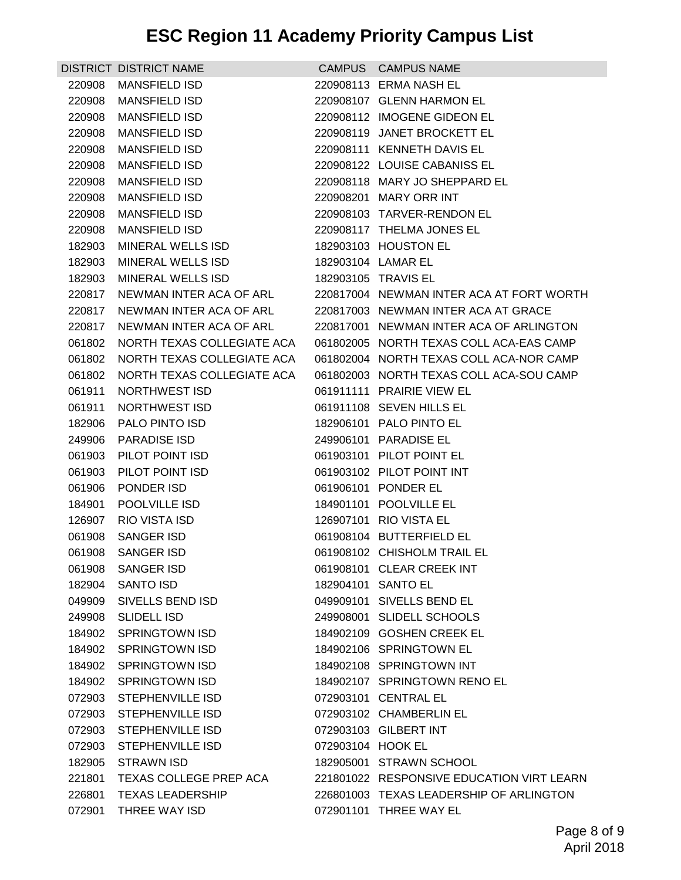## **ESC Region 11 Academy Priority Campus List**

|                  | DISTRICT DISTRICT NAME         |                   | CAMPUS CAMPUS NAME                               |
|------------------|--------------------------------|-------------------|--------------------------------------------------|
| 220908           | <b>MANSFIELD ISD</b>           |                   | 220908113 ERMA NASH EL                           |
| 220908           | <b>MANSFIELD ISD</b>           |                   | 220908107 GLENN HARMON EL                        |
| 220908           | <b>MANSFIELD ISD</b>           |                   | 220908112 IMOGENE GIDEON EL                      |
| 220908           | <b>MANSFIELD ISD</b>           |                   | 220908119 JANET BROCKETT EL                      |
| 220908           | <b>MANSFIELD ISD</b>           |                   | 220908111 KENNETH DAVIS EL                       |
| 220908           | <b>MANSFIELD ISD</b>           |                   | 220908122 LOUISE CABANISS EL                     |
| 220908           | <b>MANSFIELD ISD</b>           |                   | 220908118 MARY JO SHEPPARD EL                    |
| 220908           | MANSFIELD ISD                  |                   | 220908201 MARY ORR INT                           |
| 220908           | MANSFIELD ISD                  |                   | 220908103 TARVER-RENDON EL                       |
| 220908           | <b>MANSFIELD ISD</b>           |                   | 220908117 THELMA JONES EL                        |
| 182903           | MINERAL WELLS ISD              |                   | 182903103 HOUSTON EL                             |
| 182903           | MINERAL WELLS ISD              |                   | 182903104 LAMAR EL                               |
| 182903           | <b>MINERAL WELLS ISD</b>       |                   | 182903105 TRAVIS EL                              |
| 220817           | NEWMAN INTER ACA OF ARL        |                   | 220817004 NEWMAN INTER ACA AT FORT WORTH         |
| 220817           | NEWMAN INTER ACA OF ARL        |                   | 220817003 NEWMAN INTER ACA AT GRACE              |
| 220817           | NEWMAN INTER ACA OF ARL        |                   | 220817001 NEWMAN INTER ACA OF ARLINGTON          |
| 061802           | NORTH TEXAS COLLEGIATE ACA     |                   | 061802005 NORTH TEXAS COLL ACA-EAS CAMP          |
| 061802           | NORTH TEXAS COLLEGIATE ACA     |                   | 061802004 NORTH TEXAS COLL ACA-NOR CAMP          |
| 061802           | NORTH TEXAS COLLEGIATE ACA     |                   | 061802003 NORTH TEXAS COLL ACA-SOU CAMP          |
| 061911           | NORTHWEST ISD                  |                   | 061911111 PRAIRIE VIEW EL                        |
| 061911           | NORTHWEST ISD                  |                   | 061911108 SEVEN HILLS EL                         |
| 182906           | <b>PALO PINTO ISD</b>          |                   | 182906101 PALO PINTO EL                          |
| 249906           | <b>PARADISE ISD</b>            |                   | 249906101 PARADISE EL                            |
|                  | 061903 PILOT POINT ISD         |                   | 061903101 PILOT POINT EL                         |
| 061903           | PILOT POINT ISD                |                   | 061903102 PILOT POINT INT                        |
| 061906           | PONDER ISD                     |                   | 061906101 PONDER EL                              |
| 184901<br>126907 | POOLVILLE ISD<br>RIO VISTA ISD |                   | 184901101 POOLVILLE EL<br>126907101 RIO VISTA EL |
| 061908           | <b>SANGER ISD</b>              |                   | 061908104 BUTTERFIELD EL                         |
|                  | 061908 SANGER ISD              |                   | 061908102 CHISHOLM TRAIL EL                      |
|                  | 061908 SANGER ISD              |                   | 061908101 CLEAR CREEK INT                        |
| 182904           | SANTO ISD                      |                   | 182904101 SANTO EL                               |
| 049909           | SIVELLS BEND ISD               |                   | 049909101 SIVELLS BEND EL                        |
|                  | 249908 SLIDELL ISD             |                   | 249908001 SLIDELL SCHOOLS                        |
|                  | 184902 SPRINGTOWN ISD          |                   | 184902109 GOSHEN CREEK EL                        |
|                  | 184902 SPRINGTOWN ISD          |                   | 184902106 SPRINGTOWN EL                          |
| 184902           | <b>SPRINGTOWN ISD</b>          |                   | 184902108 SPRINGTOWN INT                         |
| 184902           | <b>SPRINGTOWN ISD</b>          |                   | 184902107 SPRINGTOWN RENO EL                     |
|                  | 072903 STEPHENVILLE ISD        |                   | 072903101 CENTRAL EL                             |
|                  | 072903 STEPHENVILLE ISD        |                   | 072903102 CHAMBERLIN EL                          |
|                  | 072903 STEPHENVILLE ISD        |                   | 072903103 GILBERT INT                            |
| 072903           | <b>STEPHENVILLE ISD</b>        | 072903104 HOOK EL |                                                  |
| 182905           | <b>STRAWN ISD</b>              |                   | 182905001 STRAWN SCHOOL                          |
| 221801           | TEXAS COLLEGE PREP ACA         |                   | 221801022 RESPONSIVE EDUCATION VIRT LEARN        |
| 226801           | <b>TEXAS LEADERSHIP</b>        |                   | 226801003 TEXAS LEADERSHIP OF ARLINGTON          |
| 072901           | THREE WAY ISD                  |                   | 072901101 THREE WAY EL                           |
|                  |                                |                   |                                                  |